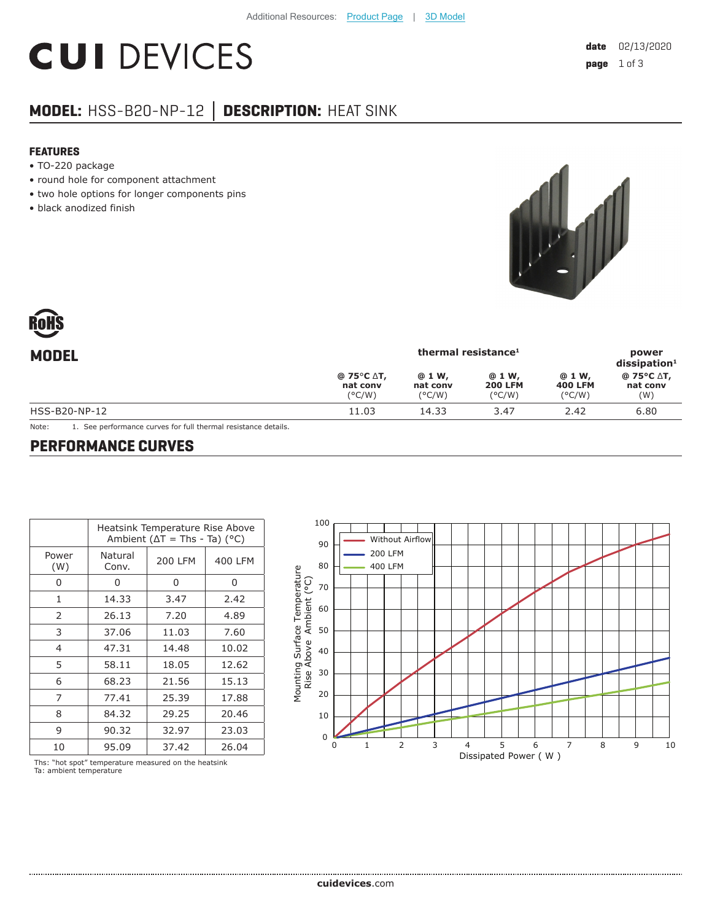# **CUI DEVICES**

## **MODEL:** HSS-B20-NP-12 **│ DESCRIPTION:** HEAT SINK

#### **FEATURES**

- TO-220 package
- round hole for component attachment
- two hole options for longer components pins
- black anodized finish



| thermal resistance <sup>1</sup>           |                                       |                                             |                                             | power<br>$dis$ sipation <sup>1</sup> |
|-------------------------------------------|---------------------------------------|---------------------------------------------|---------------------------------------------|--------------------------------------|
| @ 75°C ∆T,<br>nat conv<br>$(^{\circ}C/W)$ | @ 1 W,<br>nat conv<br>$(^{\circ}C/W)$ | @ 1 W,<br><b>200 LFM</b><br>$(^{\circ}C/W)$ | @ 1 W,<br><b>400 LFM</b><br>$(^{\circ}C/W)$ | @ 75°C ∆T,<br>nat conv<br>(W)        |
| 11.03                                     | 14.33                                 | 3.47                                        | 2.42                                        | 6.80                                 |
|                                           |                                       |                                             |                                             |                                      |

Note: 1. See performance curves for full thermal resistance details.

#### **PERFORMANCE CURVES**

|              | Heatsink Temperature Rise Above<br>Ambient ( $\Delta T$ = Ths - Ta) (°C) |         |         |  |
|--------------|--------------------------------------------------------------------------|---------|---------|--|
| Power<br>(W) | Natural<br>Conv.                                                         | 200 LFM | 400 LFM |  |
| U            | 0                                                                        | 0       | 0       |  |
| 1            | 14.33                                                                    | 3.47    | 2.42    |  |
| 2            | 26.13                                                                    | 7.20    | 4.89    |  |
| 3            | 37.06                                                                    | 11.03   | 7.60    |  |
| 4            | 47.31                                                                    | 14.48   | 10.02   |  |
| 5            | 58.11                                                                    | 18.05   | 12.62   |  |
| 6            | 68.23                                                                    | 21.56   | 15.13   |  |
| 7            | 77.41                                                                    | 25.39   | 17.88   |  |
| 8            | 84.32                                                                    | 29.25   | 20.46   |  |
| 9            | 90.32                                                                    | 32.97   | 23.03   |  |
| 10           | 95.09                                                                    | 37.42   | 26.04   |  |



Ths: "hot spot" temperature measured on the heatsink Ta: ambient temperature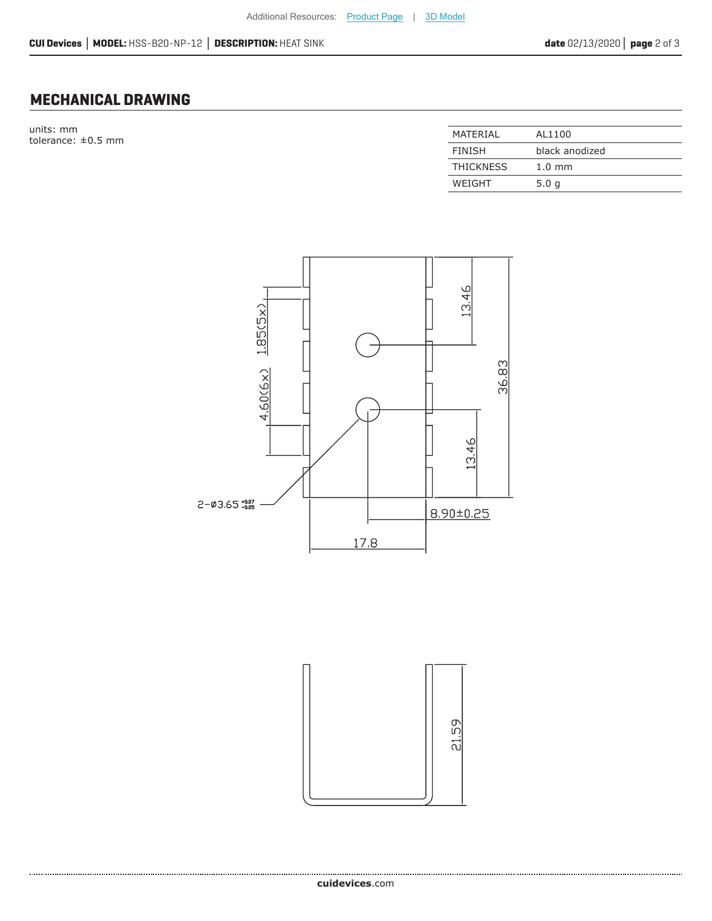## **MECHANICAL DRAWING**

units: mm  $t$ olerance:  $\pm 0.5$  mm

| MATFRIAI         | AL1100           |
|------------------|------------------|
| <b>FINISH</b>    | black anodized   |
| <b>THICKNESS</b> | $1.0 \text{ mm}$ |
| WEIGHT           | 5.0q             |